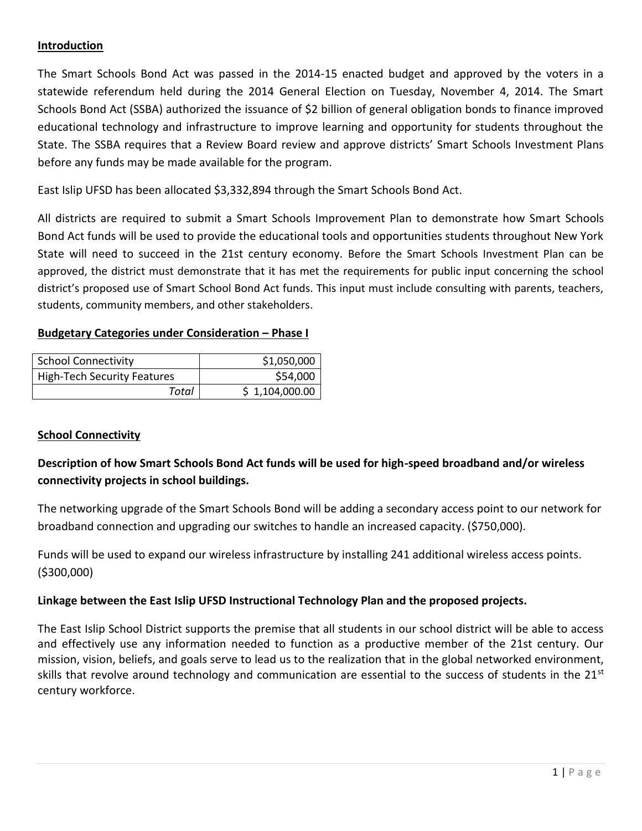## **Introduction**

The Smart Schools Bond Act was passed in the 2014-15 enacted budget and approved by the voters in a statewide referendum held during the 2014 General Election on Tuesday, November 4, 2014. The Smart Schools Bond Act (SSBA) authorized the issuance of \$2 billion of general obligation bonds to finance improved educational technology and infrastructure to improve learning and opportunity for students throughout the State. The SSBA requires that a Review Board review and approve districts' Smart Schools Investment Plans before any funds may be made available for the program.

East Islip UFSD has been allocated \$3,332,894 through the Smart Schools Bond Act.

All districts are required to submit a Smart Schools Improvement Plan to demonstrate how Smart Schools Bond Act funds will be used to provide the educational tools and opportunities students throughout New York State will need to succeed in the 21st century economy. Before the Smart Schools Investment Plan can be approved, the district must demonstrate that it has met the requirements for public input concerning the school district's proposed use of Smart School Bond Act funds. This input must include consulting with parents, teachers, students, community members, and other stakeholders.

### **Budgetary Categories under Consideration – Phase I**

| <b>School Connectivity</b>         | \$1,050,000    |
|------------------------------------|----------------|
| <b>High-Tech Security Features</b> | \$54,000       |
| Total                              | \$1,104,000.00 |

## **School Connectivity**

# **Description of how Smart Schools Bond Act funds will be used for high-speed broadband and/or wireless connectivity projects in school buildings.**

The networking upgrade of the Smart Schools Bond will be adding a secondary access point to our network for broadband connection and upgrading our switches to handle an increased capacity. (\$750,000).

Funds will be used to expand our wireless infrastructure by installing 241 additional wireless access points. (\$300,000)

## **Linkage between the East Islip UFSD Instructional Technology Plan and the proposed projects.**

The East Islip School District supports the premise that all students in our school district will be able to access and effectively use any information needed to function as a productive member of the 21st century. Our mission, vision, beliefs, and goals serve to lead us to the realization that in the global networked environment, skills that revolve around technology and communication are essential to the success of students in the 21<sup>st</sup> century workforce.